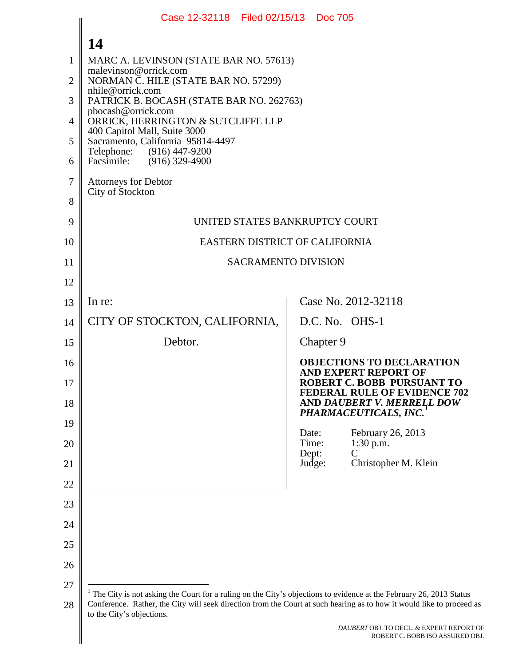<span id="page-0-0"></span>

|          | Case 12-32118 Filed 02/15/13 Doc 705                              |                                                                                                                                                                                                                                             |  |  |  |  |
|----------|-------------------------------------------------------------------|---------------------------------------------------------------------------------------------------------------------------------------------------------------------------------------------------------------------------------------------|--|--|--|--|
|          | 14                                                                |                                                                                                                                                                                                                                             |  |  |  |  |
| 1        | MARC A. LEVINSON (STATE BAR NO. 57613)                            |                                                                                                                                                                                                                                             |  |  |  |  |
| 2        | malevinson@orrick.com<br>NORMAN C. HILE (STATE BAR NO. 57299)     |                                                                                                                                                                                                                                             |  |  |  |  |
| 3        | PATRICK B. BOCASH (STATE BAR NO. 262763)                          | nhile@orrick.com                                                                                                                                                                                                                            |  |  |  |  |
| 4        | pbocash@orrick.com<br>ORRICK, HERRINGTON & SUTCLIFFE LLP          |                                                                                                                                                                                                                                             |  |  |  |  |
| 5        | 400 Capitol Mall, Suite 3000<br>Sacramento, California 95814-4497 |                                                                                                                                                                                                                                             |  |  |  |  |
| 6        | Telephone:<br>$(916)$ 447-9200<br>Facsimile: (916) 329-4900       |                                                                                                                                                                                                                                             |  |  |  |  |
| 7        | <b>Attorneys for Debtor</b><br>City of Stockton                   |                                                                                                                                                                                                                                             |  |  |  |  |
| 8        |                                                                   |                                                                                                                                                                                                                                             |  |  |  |  |
| 9        | UNITED STATES BANKRUPTCY COURT                                    |                                                                                                                                                                                                                                             |  |  |  |  |
| 10       | EASTERN DISTRICT OF CALIFORNIA                                    |                                                                                                                                                                                                                                             |  |  |  |  |
| 11       | <b>SACRAMENTO DIVISION</b>                                        |                                                                                                                                                                                                                                             |  |  |  |  |
| 12       |                                                                   |                                                                                                                                                                                                                                             |  |  |  |  |
| 13       | In re:                                                            | Case No. 2012-32118                                                                                                                                                                                                                         |  |  |  |  |
| 14       | CITY OF STOCKTON, CALIFORNIA,<br>D.C. No. OHS-1                   |                                                                                                                                                                                                                                             |  |  |  |  |
| 15       | Debtor.<br>Chapter 9                                              |                                                                                                                                                                                                                                             |  |  |  |  |
| 16<br>17 |                                                                   | <b>OBJECTIONS TO DECLARATION</b><br><b>AND EXPERT REPORT OF</b><br>ROBERT C. BOBB PURSUANT TO                                                                                                                                               |  |  |  |  |
| 18       |                                                                   | <b>FEDERAL RULE OF EVIDENCE 702</b><br>AND DAUBERT V. MERRELL DOW                                                                                                                                                                           |  |  |  |  |
| 19       |                                                                   | PHARMACEUTICALS, INC.                                                                                                                                                                                                                       |  |  |  |  |
| 20       | Date:<br>Time:<br>Dept:                                           | February 26, 2013<br>$1:30$ p.m.<br>$\overline{C}$                                                                                                                                                                                          |  |  |  |  |
| 21       | Judge:                                                            | Christopher M. Klein                                                                                                                                                                                                                        |  |  |  |  |
| 22       |                                                                   |                                                                                                                                                                                                                                             |  |  |  |  |
| 23       |                                                                   |                                                                                                                                                                                                                                             |  |  |  |  |
| 24       |                                                                   |                                                                                                                                                                                                                                             |  |  |  |  |
| 25       |                                                                   |                                                                                                                                                                                                                                             |  |  |  |  |
| 26       |                                                                   |                                                                                                                                                                                                                                             |  |  |  |  |
| 27<br>28 | to the City's objections.                                         | The City is not asking the Court for a ruling on the City's objections to evidence at the February 26, 2013 Status<br>Conference. Rather, the City will seek direction from the Court at such hearing as to how it would like to proceed as |  |  |  |  |
|          |                                                                   | DAUBERT OBJ. TO DECL. & EXPERT REPORT OF<br>ROBERT C. BOBB ISO ASSURED OBJ.                                                                                                                                                                 |  |  |  |  |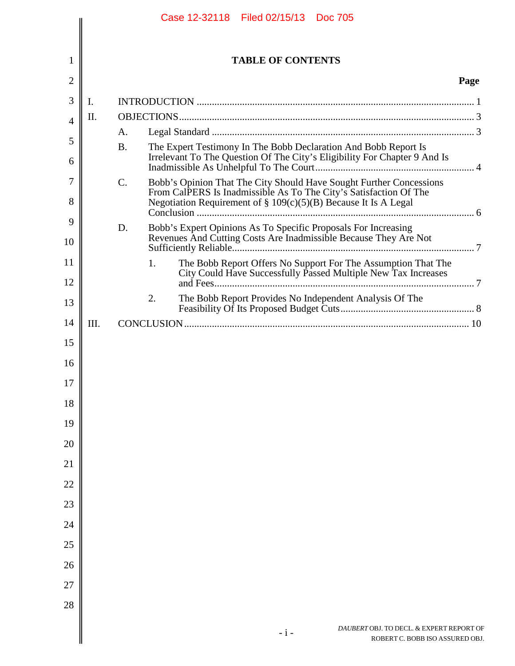|                |      |           | Case 12-32118 Filed 02/15/13 Doc 705                                                                                                                                                                           |      |
|----------------|------|-----------|----------------------------------------------------------------------------------------------------------------------------------------------------------------------------------------------------------------|------|
| 1              |      |           | <b>TABLE OF CONTENTS</b>                                                                                                                                                                                       |      |
| $\overline{c}$ |      |           |                                                                                                                                                                                                                | Page |
| 3              | I.   |           |                                                                                                                                                                                                                |      |
| 4              | Π.   |           |                                                                                                                                                                                                                |      |
|                |      | A.        |                                                                                                                                                                                                                |      |
|                |      | <b>B.</b> | The Expert Testimony In The Bobb Declaration And Bobb Report Is<br>Irrelevant To The Question Of The City's Eligibility For Chapter 9 And Is                                                                   |      |
| 7<br>8         |      | C.        | Bobb's Opinion That The City Should Have Sought Further Concessions<br>From CalPERS Is Inadmissible As To The City's Satisfaction Of The<br>Negotiation Requirement of $\S 109(c)(5)(B)$ Because It Is A Legal |      |
|                |      | D.        | Bobb's Expert Opinions As To Specific Proposals For Increasing<br>Revenues And Cutting Costs Are Inadmissible Because They Are Not                                                                             |      |
| 12             |      |           | The Bobb Report Offers No Support For The Assumption That The<br>1.<br>City Could Have Successfully Passed Multiple New Tax Increases                                                                          |      |
|                |      |           | The Bobb Report Provides No Independent Analysis Of The<br>2.                                                                                                                                                  |      |
|                | III. |           |                                                                                                                                                                                                                |      |
| 16<br>17       |      |           |                                                                                                                                                                                                                |      |
|                |      |           |                                                                                                                                                                                                                |      |
|                |      |           |                                                                                                                                                                                                                |      |
|                |      |           |                                                                                                                                                                                                                |      |
|                |      |           |                                                                                                                                                                                                                |      |
|                |      |           |                                                                                                                                                                                                                |      |
|                |      |           |                                                                                                                                                                                                                |      |
|                |      |           |                                                                                                                                                                                                                |      |
|                |      |           |                                                                                                                                                                                                                |      |
|                |      |           |                                                                                                                                                                                                                |      |
|                |      |           | DAUBERT OBJ. TO DECL. & EXPERT REPORT OF<br>$-i-$<br>ROBERT C. BOBB ISO ASSURED OBJ.                                                                                                                           |      |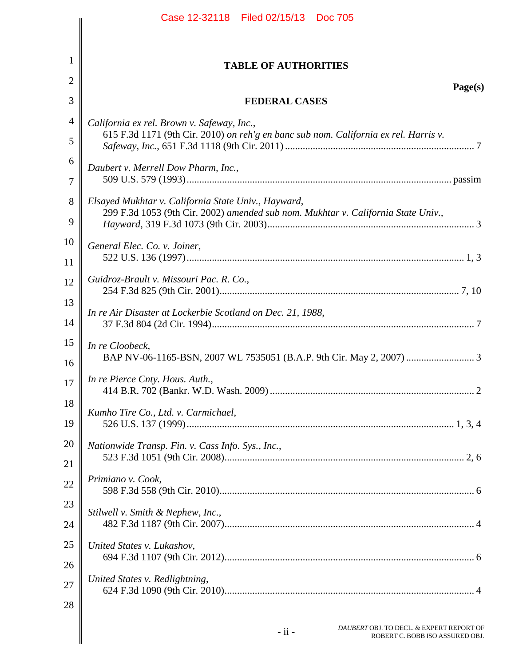|                | Case 12-32118 Filed 02/15/13 Doc 705                                                  |  |
|----------------|---------------------------------------------------------------------------------------|--|
|                |                                                                                       |  |
| 1              | <b>TABLE OF AUTHORITIES</b>                                                           |  |
| $\overline{2}$ | Page(s)                                                                               |  |
| 3              | <b>FEDERAL CASES</b>                                                                  |  |
| $\overline{4}$ | California ex rel. Brown v. Safeway, Inc.,                                            |  |
| 5              | 615 F.3d 1171 (9th Cir. 2010) on reh'g en banc sub nom. California ex rel. Harris v.  |  |
| 6              | Daubert v. Merrell Dow Pharm, Inc.,                                                   |  |
| 7              |                                                                                       |  |
| 8              | Elsayed Mukhtar v. California State Univ., Hayward,                                   |  |
| 9              | 299 F.3d 1053 (9th Cir. 2002) amended sub nom. Mukhtar v. California State Univ.,     |  |
| 10             | General Elec. Co. v. Joiner,                                                          |  |
| 11             |                                                                                       |  |
| 12             | Guidroz-Brault v. Missouri Pac. R. Co.,                                               |  |
| 13             |                                                                                       |  |
| 14             | In re Air Disaster at Lockerbie Scotland on Dec. 21, 1988,                            |  |
| 15             | In re Cloobeck,                                                                       |  |
| 16             |                                                                                       |  |
| 17             | In re Pierce Cnty. Hous. Auth.,                                                       |  |
| 18             |                                                                                       |  |
| 19             | Kumho Tire Co., Ltd. v. Carmichael,                                                   |  |
| 20             | Nationwide Transp. Fin. v. Cass Info. Sys., Inc.,                                     |  |
| 21             |                                                                                       |  |
| 22             | Primiano v. Cook,                                                                     |  |
| 23             |                                                                                       |  |
| 24             | Stilwell v. Smith & Nephew, Inc.,                                                     |  |
| 25             | United States v. Lukashov,                                                            |  |
| 26             |                                                                                       |  |
| 27             | United States v. Redlightning,                                                        |  |
| 28             |                                                                                       |  |
|                |                                                                                       |  |
|                | DAUBERT OBJ. TO DECL. & EXPERT REPORT OF<br>- ii -<br>ROBERT C. BOBB ISO ASSURED OBJ. |  |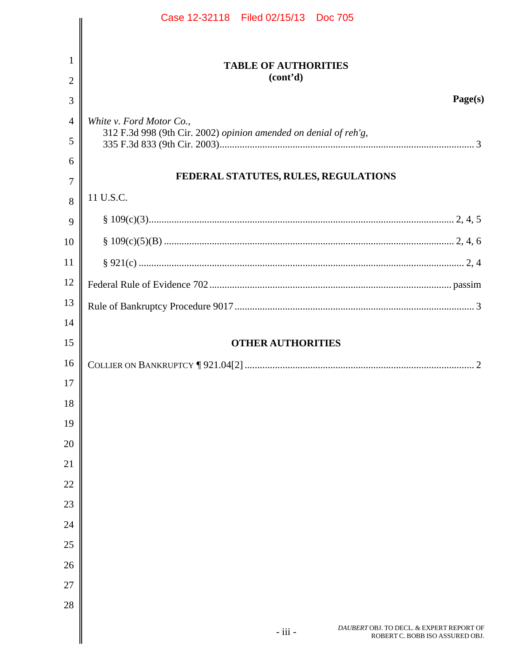|          | Case 12-32118 Filed 02/15/13 Doc 705                             |  |
|----------|------------------------------------------------------------------|--|
|          |                                                                  |  |
| 1        | <b>TABLE OF AUTHORITIES</b>                                      |  |
| 2        | (cont'd)                                                         |  |
| 3        | Page(s)                                                          |  |
| 4        | White v. Ford Motor Co.,                                         |  |
| 5        | 312 F.3d 998 (9th Cir. 2002) opinion amended on denial of reh'g, |  |
| 6        |                                                                  |  |
| 7        | FEDERAL STATUTES, RULES, REGULATIONS                             |  |
| 8        | 11 U.S.C.                                                        |  |
| 9        |                                                                  |  |
| 10       |                                                                  |  |
| 11       |                                                                  |  |
| 12       |                                                                  |  |
| 13       |                                                                  |  |
| 14       |                                                                  |  |
| 15       | <b>OTHER AUTHORITIES</b>                                         |  |
| 16       |                                                                  |  |
| 17       |                                                                  |  |
| 18       |                                                                  |  |
| 19       |                                                                  |  |
| 20       |                                                                  |  |
| 21       |                                                                  |  |
| 22       |                                                                  |  |
| 23<br>24 |                                                                  |  |
| 25       |                                                                  |  |
| 26       |                                                                  |  |
| 27       |                                                                  |  |
| 28       |                                                                  |  |
|          | DAUBERT OBJ. TO DECL. & EXPERT REPORT OF                         |  |
|          | - iii -<br>ROBERT C. BOBB ISO ASSURED OBJ.                       |  |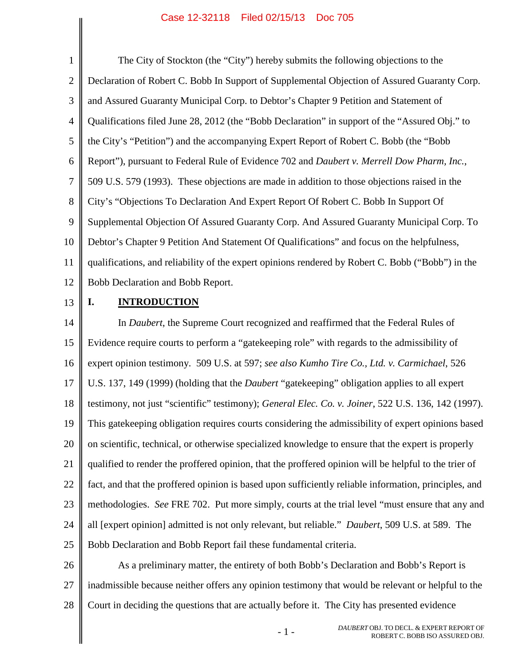<span id="page-4-3"></span><span id="page-4-0"></span>1 2 3 4 5 6 7 8 9 10 11 12 The City of Stockton (the "City") hereby submits the following objections to the Declaration of Robert C. Bobb In Support of Supplemental Objection of Assured Guaranty Corp. and Assured Guaranty Municipal Corp. to Debtor's Chapter 9 Petition and Statement of Qualifications filed June 28, 2012 (the "Bobb Declaration" in support of the "Assured Obj." to the City's "Petition") and the accompanying Expert Report of Robert C. Bobb (the "Bobb Report"), pursuant to Federal Rule of Evidence 702 and *Daubert v. Merrell Dow Pharm, Inc.*, 509 U.S. 579 (1993). These objections are made in addition to those objections raised in the City's "Objections To Declaration And Expert Report Of Robert C. Bobb In Support Of Supplemental Objection Of Assured Guaranty Corp. And Assured Guaranty Municipal Corp. To Debtor's Chapter 9 Petition And Statement Of Qualifications" and focus on the helpfulness, qualifications, and reliability of the expert opinions rendered by Robert C. Bobb ("Bobb") in the Bobb Declaration and Bobb Report.

13

## <span id="page-4-2"></span><span id="page-4-1"></span>**I. INTRODUCTION**

14 15 16 17 18 19 20 21 22 23 24 25 In *Daubert*, the Supreme Court recognized and reaffirmed that the Federal Rules of Evidence require courts to perform a "gatekeeping role" with regards to the admissibility of expert opinion testimony. 509 U.S. at 597; *see also Kumho Tire Co., Ltd. v. Carmichael*, 526 U.S. 137, 149 (1999) (holding that the *Daubert* "gatekeeping" obligation applies to all expert testimony, not just "scientific" testimony); *General Elec. Co. v. Joiner*, 522 U.S. 136, 142 (1997). This gatekeeping obligation requires courts considering the admissibility of expert opinions based on scientific, technical, or otherwise specialized knowledge to ensure that the expert is properly qualified to render the proffered opinion, that the proffered opinion will be helpful to the trier of fact, and that the proffered opinion is based upon sufficiently reliable information, principles, and methodologies. *See* FRE 702. Put more simply, courts at the trial level "must ensure that any and all [expert opinion] admitted is not only relevant, but reliable." *Daubert*, 509 U.S. at 589. The Bobb Declaration and Bobb Report fail these fundamental criteria.

26 27 28 As a preliminary matter, the entirety of both Bobb's Declaration and Bobb's Report is inadmissible because neither offers any opinion testimony that would be relevant or helpful to the Court in deciding the questions that are actually before it. The City has presented evidence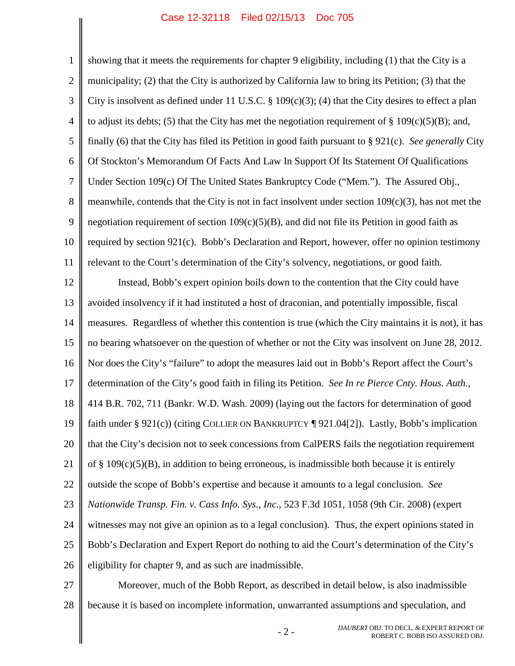<span id="page-5-4"></span><span id="page-5-3"></span><span id="page-5-2"></span>1 2 3 4 5 6 7 8 9 10 11 12 13 14 15 16 17 18 19 20 21 22 23 24 25 26 showing that it meets the requirements for chapter 9 eligibility, including (1) that the City is a municipality; (2) that the City is authorized by California law to bring its Petition; (3) that the City is insolvent as defined under 11 U.S.C.  $\S$  109(c)(3); (4) that the City desires to effect a plan to adjust its debts; (5) that the City has met the negotiation requirement of  $\S$  109(c)(5)(B); and, finally (6) that the City has filed its Petition in good faith pursuant to § 921(c). *See generally* City Of Stockton's Memorandum Of Facts And Law In Support Of Its Statement Of Qualifications Under Section 109(c) Of The United States Bankruptcy Code ("Mem."). The Assured Obj., meanwhile, contends that the City is not in fact insolvent under section  $109(c)(3)$ , has not met the negotiation requirement of section  $109(c)(5)(B)$ , and did not file its Petition in good faith as required by section 921(c). Bobb's Declaration and Report, however, offer no opinion testimony relevant to the Court's determination of the City's solvency, negotiations, or good faith. Instead, Bobb's expert opinion boils down to the contention that the City could have avoided insolvency if it had instituted a host of draconian, and potentially impossible, fiscal measures. Regardless of whether this contention is true (which the City maintains it is not), it has no bearing whatsoever on the question of whether or not the City was insolvent on June 28, 2012. Nor does the City's "failure" to adopt the measures laid out in Bobb's Report affect the Court's determination of the City's good faith in filing its Petition. *See In re Pierce Cnty. Hous. Auth.*, 414 B.R. 702, 711 (Bankr. W.D. Wash. 2009) (laying out the factors for determination of good faith under § 921(c)) (citing COLLIER ON BANKRUPTCY  $\P$  921.04[2]). Lastly, Bobb's implication that the City's decision not to seek concessions from CalPERS fails the negotiation requirement of  $\S$  109(c)(5)(B), in addition to being erroneous, is inadmissible both because it is entirely outside the scope of Bobb's expertise and because it amounts to a legal conclusion. *See Nationwide Transp. Fin. v. Cass Info. Sys., Inc.*, 523 F.3d 1051, 1058 (9th Cir. 2008) (expert witnesses may not give an opinion as to a legal conclusion). Thus, the expert opinions stated in Bobb's Declaration and Expert Report do nothing to aid the Court's determination of the City's eligibility for chapter 9, and as such are inadmissible.

<span id="page-5-5"></span><span id="page-5-1"></span><span id="page-5-0"></span>27

28 Moreover, much of the Bobb Report, as described in detail below, is also inadmissible because it is based on incomplete information, unwarranted assumptions and speculation, and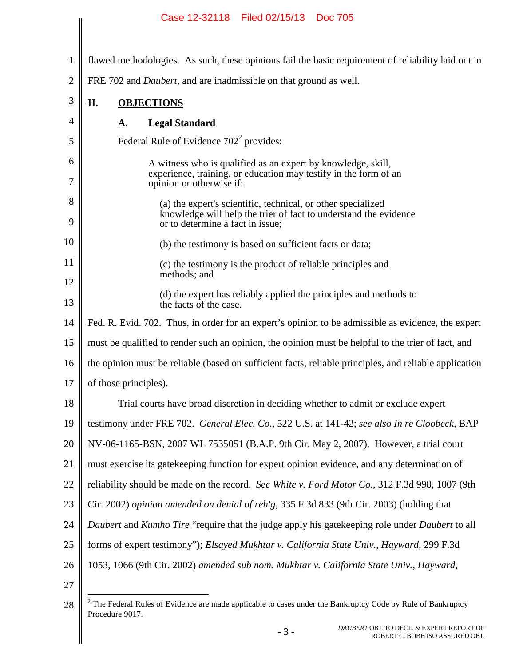|              | Case 12-32110 Filed 02/13/13 DOC 703                                                                                                                                 |  |
|--------------|----------------------------------------------------------------------------------------------------------------------------------------------------------------------|--|
| $\mathbf{1}$ | flawed methodologies. As such, these opinions fail the basic requirement of reliability laid out in                                                                  |  |
| 2            | FRE 702 and <i>Daubert</i> , and are inadmissible on that ground as well.                                                                                            |  |
| 3            | II.<br><b>OBJECTIONS</b>                                                                                                                                             |  |
| 4            | <b>Legal Standard</b><br>A.                                                                                                                                          |  |
| 5            | Federal Rule of Evidence 702 <sup>2</sup> provides:                                                                                                                  |  |
| 6            | A witness who is qualified as an expert by knowledge, skill,                                                                                                         |  |
| 7            | experience, training, or education may testify in the form of an<br>opinion or otherwise if:                                                                         |  |
| 8<br>9       | (a) the expert's scientific, technical, or other specialized<br>knowledge will help the trier of fact to understand the evidence<br>or to determine a fact in issue; |  |
| 10           | (b) the testimony is based on sufficient facts or data;                                                                                                              |  |
| 11           | (c) the testimony is the product of reliable principles and                                                                                                          |  |
| 12           | methods; and                                                                                                                                                         |  |
| 13           | (d) the expert has reliably applied the principles and methods to<br>the facts of the case.                                                                          |  |
| 14           | Fed. R. Evid. 702. Thus, in order for an expert's opinion to be admissible as evidence, the expert                                                                   |  |
| 15           | must be qualified to render such an opinion, the opinion must be helpful to the trier of fact, and                                                                   |  |
| 16           | the opinion must be reliable (based on sufficient facts, reliable principles, and reliable application                                                               |  |
| 17           | of those principles).                                                                                                                                                |  |
| 18           | Trial courts have broad discretion in deciding whether to admit or exclude expert                                                                                    |  |
| 19           | testimony under FRE 702. General Elec. Co., 522 U.S. at 141-42; see also In re Cloobeck, BAP                                                                         |  |
| 20           | NV-06-1165-BSN, 2007 WL 7535051 (B.A.P. 9th Cir. May 2, 2007). However, a trial court                                                                                |  |
| 21           | must exercise its gate keeping function for expert opinion evidence, and any determination of                                                                        |  |
| 22           | reliability should be made on the record. See White v. Ford Motor Co., 312 F.3d 998, 1007 (9th                                                                       |  |
| 23           | Cir. 2002) opinion amended on denial of reh'g, 335 F.3d 833 (9th Cir. 2003) (holding that                                                                            |  |
| 24           | Daubert and Kumho Tire "require that the judge apply his gatekeeping role under Daubert to all                                                                       |  |
| 25           | forms of expert testimony"); Elsayed Mukhtar v. California State Univ., Hayward, 299 F.3d                                                                            |  |
| 26           | 1053, 1066 (9th Cir. 2002) amended sub nom. Mukhtar v. California State Univ., Hayward,                                                                              |  |
| 27           |                                                                                                                                                                      |  |
| 28           | $2$ The Federal Rules of Evidence are made applicable to cases under the Bankruptcy Code by Rule of Bankruptcy                                                       |  |

<span id="page-6-6"></span><span id="page-6-3"></span>Procedure 9017.

<span id="page-6-5"></span><span id="page-6-4"></span><span id="page-6-2"></span><span id="page-6-1"></span><span id="page-6-0"></span><sup>&</sup>lt;sup>DAUBERT</sup> OBJ. TO DECL. & EXPERT REPORT OF - 3 - *DAUBERT* OBJ. TO DECL. & EXPERT REPORT OF ROBERT C. BOBB ISO ASSURED OBJ.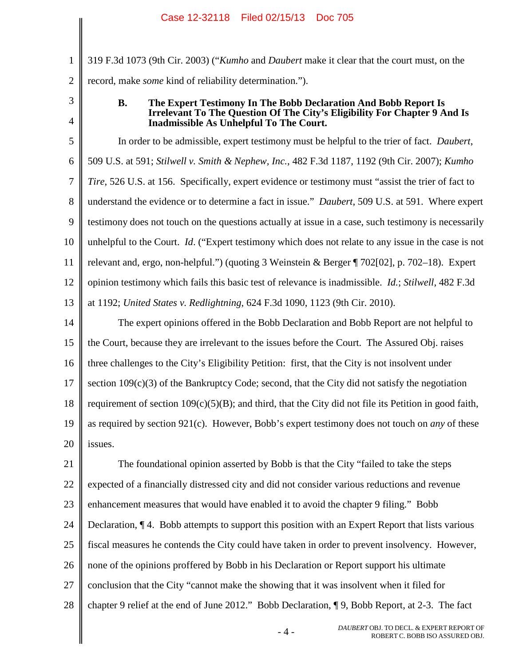2 319 F.3d 1073 (9th Cir. 2003) ("*Kumho* and *Daubert* make it clear that the court must, on the record, make *some* kind of reliability determination.").

3

4

1

### <span id="page-7-1"></span><span id="page-7-0"></span>**B. The Expert Testimony In The Bobb Declaration And Bobb Report Is Irrelevant To The Question Of The City's Eligibility For Chapter 9 And Is Inadmissible As Unhelpful To The Court.**

5 6 7 8 9 10 11 12 13 In order to be admissible, expert testimony must be helpful to the trier of fact. *Daubert*, 509 U.S. at 591; *Stilwell v. Smith & Nephew, Inc.*, 482 F.3d 1187, 1192 (9th Cir. 2007); *Kumho Tire*, 526 U.S. at 156. Specifically, expert evidence or testimony must "assist the trier of fact to understand the evidence or to determine a fact in issue." *Daubert*, 509 U.S. at 591. Where expert testimony does not touch on the questions actually at issue in a case, such testimony is necessarily unhelpful to the Court. *Id*. ("Expert testimony which does not relate to any issue in the case is not relevant and, ergo, non-helpful.") (quoting 3 Weinstein & Berger ¶ 702[02], p. 702–18). Expert opinion testimony which fails this basic test of relevance is inadmissible. *Id.*; *Stilwell*, 482 F.3d at 1192; *United States v. Redlightning*, 624 F.3d 1090, 1123 (9th Cir. 2010).

<span id="page-7-4"></span><span id="page-7-3"></span><span id="page-7-2"></span>14 15 16 17 18 19 20 The expert opinions offered in the Bobb Declaration and Bobb Report are not helpful to the Court, because they are irrelevant to the issues before the Court. The Assured Obj. raises three challenges to the City's Eligibility Petition: first, that the City is not insolvent under section 109(c)(3) of the Bankruptcy Code; second, that the City did not satisfy the negotiation requirement of section  $109(c)(5)(B)$ ; and third, that the City did not file its Petition in good faith, as required by section 921(c). However, Bobb's expert testimony does not touch on *any* of these issues.

<span id="page-7-5"></span>21 22 23 24 25 26 27 28 The foundational opinion asserted by Bobb is that the City "failed to take the steps expected of a financially distressed city and did not consider various reductions and revenue enhancement measures that would have enabled it to avoid the chapter 9 filing." Bobb Declaration, ¶ 4. Bobb attempts to support this position with an Expert Report that lists various fiscal measures he contends the City could have taken in order to prevent insolvency. However, none of the opinions proffered by Bobb in his Declaration or Report support his ultimate conclusion that the City "cannot make the showing that it was insolvent when it filed for chapter 9 relief at the end of June 2012." Bobb Declaration, ¶ 9, Bobb Report, at 2-3. The fact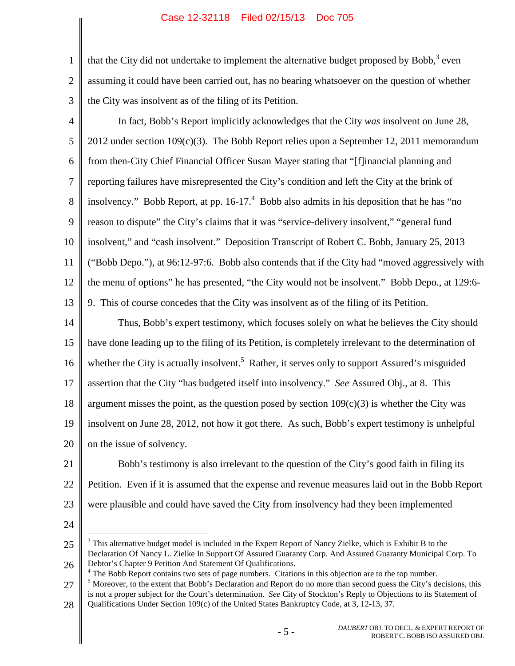1 2 3 that the City did not undertake to implement the alternative budget proposed by Bobb, $3$  even assuming it could have been carried out, has no bearing whatsoever on the question of whether the City was insolvent as of the filing of its Petition.

- <span id="page-8-0"></span>4 5 6 7 8 9 10 11 12 13 In fact, Bobb's Report implicitly acknowledges that the City *was* insolvent on June 28, 2012 under section 109(c)(3). The Bobb Report relies upon a September 12, 2011 memorandum from then-City Chief Financial Officer Susan Mayer stating that "[f]inancial planning and reporting failures have misrepresented the City's condition and left the City at the brink of insolvency." Bobb Report, at pp.  $16-17<sup>4</sup>$  $16-17<sup>4</sup>$  $16-17<sup>4</sup>$  Bobb also admits in his deposition that he has "no reason to dispute" the City's claims that it was "service-delivery insolvent," "general fund insolvent," and "cash insolvent." Deposition Transcript of Robert C. Bobb, January 25, 2013 ("Bobb Depo."), at 96:12-97:6. Bobb also contends that if the City had "moved aggressively with the menu of options" he has presented, "the City would not be insolvent." Bobb Depo., at 129:6- 9. This of course concedes that the City was insolvent as of the filing of its Petition.
- 14 15 16 17 18 19 20 Thus, Bobb's expert testimony, which focuses solely on what he believes the City should have done leading up to the filing of its Petition, is completely irrelevant to the determination of whether the City is actually insolvent.<sup>[5](#page-8-3)</sup> Rather, it serves only to support Assured's misguided assertion that the City "has budgeted itself into insolvency." *See* Assured Obj., at 8. This argument misses the point, as the question posed by section  $109(c)(3)$  is whether the City was insolvent on June 28, 2012, not how it got there. As such, Bobb's expert testimony is unhelpful on the issue of solvency.
- 21 22 23 Bobb's testimony is also irrelevant to the question of the City's good faith in filing its Petition. Even if it is assumed that the expense and revenue measures laid out in the Bobb Report were plausible and could have saved the City from insolvency had they been implemented
- 24

<span id="page-8-1"></span><sup>25</sup> 26 <sup>3</sup> This alternative budget model is included in the Expert Report of Nancy Zielke, which is Exhibit B to the Declaration Of Nancy L. Zielke In Support Of Assured Guaranty Corp. And Assured Guaranty Municipal Corp. To Debtor's Chapter 9 Petition And Statement Of Qualifications.

<span id="page-8-3"></span><span id="page-8-2"></span><sup>27</sup>  $4$  The Bobb Report contains two sets of page numbers. Citations in this objection are to the top number. <sup>5</sup> Moreover, to the extent that Bobb's Declaration and Report do no more than second guess the City's decisions, this is not a proper subject for the Court's determination. *See* City of Stockton's Reply to Objections to its Statement of

<sup>28</sup> Qualifications Under Section 109(c) of the United States Bankruptcy Code, at 3, 12-13, 37.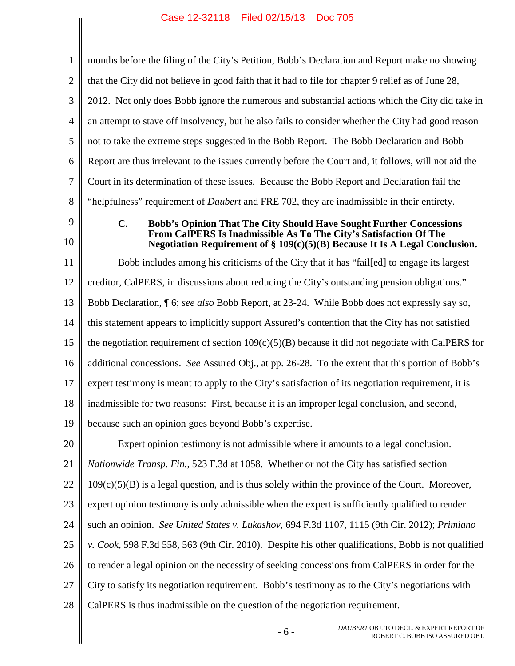$\left| \right|$ 

 $\overline{\phantom{a}}$ 

<span id="page-9-3"></span><span id="page-9-2"></span><span id="page-9-1"></span><span id="page-9-0"></span>

| $\mathbf{1}$   | months before the filing of the City's Petition, Bobb's Declaration and Report make no showing                                                                    |  |
|----------------|-------------------------------------------------------------------------------------------------------------------------------------------------------------------|--|
| $\overline{2}$ | that the City did not believe in good faith that it had to file for chapter 9 relief as of June 28,                                                               |  |
| 3              | 2012. Not only does Bobb ignore the numerous and substantial actions which the City did take in                                                                   |  |
| $\overline{4}$ | an attempt to stave off insolvency, but he also fails to consider whether the City had good reason                                                                |  |
| 5              | not to take the extreme steps suggested in the Bobb Report. The Bobb Declaration and Bobb                                                                         |  |
| 6              | Report are thus irrelevant to the issues currently before the Court and, it follows, will not aid the                                                             |  |
| 7              | Court in its determination of these issues. Because the Bobb Report and Declaration fail the                                                                      |  |
| 8              | "helpfulness" requirement of <i>Daubert</i> and FRE 702, they are inadmissible in their entirety.                                                                 |  |
| 9              | <b>Bobb's Opinion That The City Should Have Sought Further Concessions</b><br>$\mathbf{C}$ .<br>From CalPERS Is Inadmissible As To The City's Satisfaction Of The |  |
| 10             | Negotiation Requirement of $\S 109(c)(5)(B)$ Because It Is A Legal Conclusion.                                                                                    |  |
| 11             | Bobb includes among his criticisms of the City that it has "failed to engage its largest                                                                          |  |
| 12             | creditor, CalPERS, in discussions about reducing the City's outstanding pension obligations."                                                                     |  |
| 13             | Bobb Declaration, 16; see also Bobb Report, at 23-24. While Bobb does not expressly say so,                                                                       |  |
| 14             | this statement appears to implicitly support Assured's contention that the City has not satisfied                                                                 |  |
| 15             | the negotiation requirement of section $109(c)(5)(B)$ because it did not negotiate with CalPERS for                                                               |  |
| 16             | additional concessions. See Assured Obj., at pp. 26-28. To the extent that this portion of Bobb's                                                                 |  |
| 17             | expert testimony is meant to apply to the City's satisfaction of its negotiation requirement, it is                                                               |  |
| 18             | inadmissible for two reasons: First, because it is an improper legal conclusion, and second,                                                                      |  |
| 19             | because such an opinion goes beyond Bobb's expertise.                                                                                                             |  |
| 20             | Expert opinion testimony is not admissible where it amounts to a legal conclusion.                                                                                |  |
| 21             | <i>Nationwide Transp. Fin.</i> , 523 F.3d at 1058. Whether or not the City has satisfied section                                                                  |  |
| 22             | $109(c)(5)(B)$ is a legal question, and is thus solely within the province of the Court. Moreover,                                                                |  |
| 23             | expert opinion testimony is only admissible when the expert is sufficiently qualified to render                                                                   |  |
| 24             | such an opinion. See United States v. Lukashov, 694 F.3d 1107, 1115 (9th Cir. 2012); Primiano                                                                     |  |
| 25             | v. Cook, 598 F.3d 558, 563 (9th Cir. 2010). Despite his other qualifications, Bobb is not qualified                                                               |  |
| 26             | to render a legal opinion on the necessity of seeking concessions from CalPERS in order for the                                                                   |  |
| 27             | City to satisfy its negotiation requirement. Bobb's testimony as to the City's negotiations with                                                                  |  |
| 28             | CalPERS is thus inadmissible on the question of the negotiation requirement.                                                                                      |  |
|                | DAUBERT OBJ. TO DECL. & EXPERT REPORT OF<br>$-6-$<br>ROBERT C. BOBB ISO ASSURED OBJ.                                                                              |  |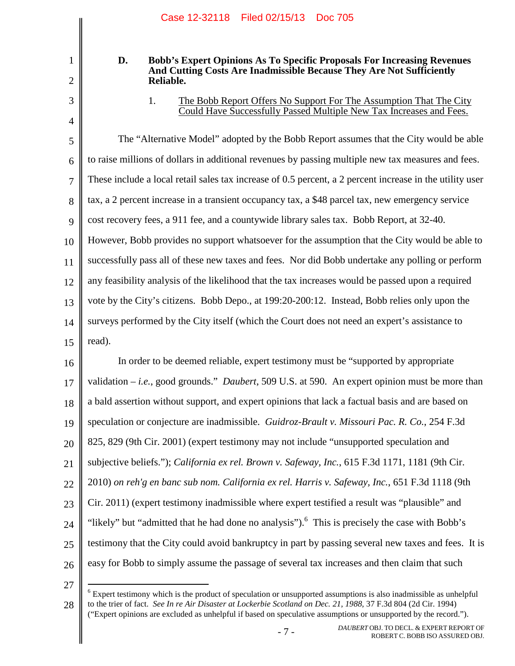# 2 3

4

1

### **D. Bobb's Expert Opinions As To Specific Proposals For Increasing Revenues And Cutting Costs Are Inadmissible Because They Are Not Sufficiently Reliable.**

## 1. The Bobb Report Offers No Support For The Assumption That The City Could Have Successfully Passed Multiple New Tax Increases and Fees.

5 6 7 8 9 10 11 12 13 14 15 The "Alternative Model" adopted by the Bobb Report assumes that the City would be able to raise millions of dollars in additional revenues by passing multiple new tax measures and fees. These include a local retail sales tax increase of 0.5 percent, a 2 percent increase in the utility user tax, a 2 percent increase in a transient occupancy tax, a \$48 parcel tax, new emergency service cost recovery fees, a 911 fee, and a countywide library sales tax. Bobb Report, at 32-40. However, Bobb provides no support whatsoever for the assumption that the City would be able to successfully pass all of these new taxes and fees. Nor did Bobb undertake any polling or perform any feasibility analysis of the likelihood that the tax increases would be passed upon a required vote by the City's citizens. Bobb Depo., at 199:20-200:12. Instead, Bobb relies only upon the surveys performed by the City itself (which the Court does not need an expert's assistance to read).

<span id="page-10-1"></span><span id="page-10-0"></span>16 17 18 19 20 21 22 23 24 25 26 In order to be deemed reliable, expert testimony must be "supported by appropriate validation – *i.e.*, good grounds." *Daubert*, 509 U.S. at 590. An expert opinion must be more than a bald assertion without support, and expert opinions that lack a factual basis and are based on speculation or conjecture are inadmissible. *Guidroz-Brault v. Missouri Pac. R. Co.*, 254 F.3d 825, 829 (9th Cir. 2001) (expert testimony may not include "unsupported speculation and subjective beliefs."); *California ex rel. Brown v. Safeway, Inc.*, 615 F.3d 1171, 1181 (9th Cir. 2010) *on reh'g en banc sub nom. California ex rel. Harris v. Safeway, Inc.*, 651 F.3d 1118 (9th Cir. 2011) (expert testimony inadmissible where expert testified a result was "plausible" and "likely" but "admitted that he had done no analysis"). <sup>[6](#page-10-3)</sup> This is precisely the case with Bobb's testimony that the City could avoid bankruptcy in part by passing several new taxes and fees. It is easy for Bobb to simply assume the passage of several tax increases and then claim that such

<span id="page-10-3"></span>27

<span id="page-10-2"></span><sup>28</sup>  $6$  Expert testimony which is the product of speculation or unsupported assumptions is also inadmissible as unhelpful to the trier of fact. *See In re Air Disaster at Lockerbie Scotland on Dec. 21, 1988*, 37 F.3d 804 (2d Cir. 1994) ("Expert opinions are excluded as unhelpful if based on speculative assumptions or unsupported by the record.").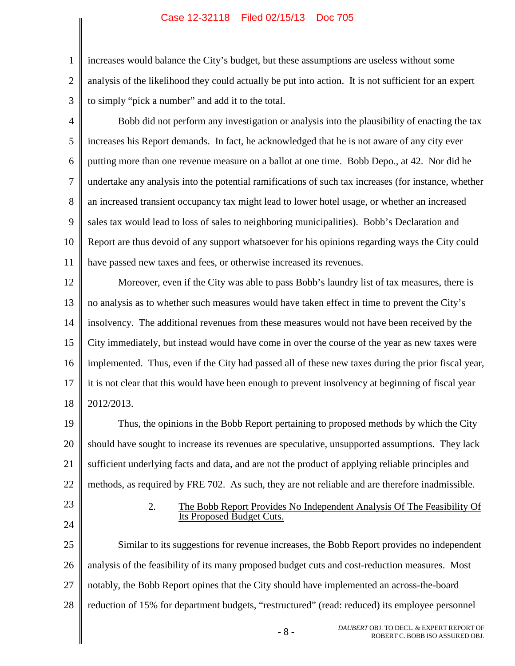2 3 increases would balance the City's budget, but these assumptions are useless without some analysis of the likelihood they could actually be put into action. It is not sufficient for an expert to simply "pick a number" and add it to the total.

- 4 5 6 7 8 9 10 11 Bobb did not perform any investigation or analysis into the plausibility of enacting the tax increases his Report demands. In fact, he acknowledged that he is not aware of any city ever putting more than one revenue measure on a ballot at one time. Bobb Depo., at 42. Nor did he undertake any analysis into the potential ramifications of such tax increases (for instance, whether an increased transient occupancy tax might lead to lower hotel usage, or whether an increased sales tax would lead to loss of sales to neighboring municipalities). Bobb's Declaration and Report are thus devoid of any support whatsoever for his opinions regarding ways the City could have passed new taxes and fees, or otherwise increased its revenues.
- 12 13 14 15 16 17 18 Moreover, even if the City was able to pass Bobb's laundry list of tax measures, there is no analysis as to whether such measures would have taken effect in time to prevent the City's insolvency. The additional revenues from these measures would not have been received by the City immediately, but instead would have come in over the course of the year as new taxes were implemented. Thus, even if the City had passed all of these new taxes during the prior fiscal year, it is not clear that this would have been enough to prevent insolvency at beginning of fiscal year 2012/2013.
- 19 20 21 22 Thus, the opinions in the Bobb Report pertaining to proposed methods by which the City should have sought to increase its revenues are speculative, unsupported assumptions. They lack sufficient underlying facts and data, and are not the product of applying reliable principles and methods, as required by FRE 702. As such, they are not reliable and are therefore inadmissible.
- 23

24

1

## 2. The Bobb Report Provides No Independent Analysis Of The Feasibility Of Its Proposed Budget Cuts.

25 26 27 28 Similar to its suggestions for revenue increases, the Bobb Report provides no independent analysis of the feasibility of its many proposed budget cuts and cost-reduction measures. Most notably, the Bobb Report opines that the City should have implemented an across-the-board reduction of 15% for department budgets, "restructured" (read: reduced) its employee personnel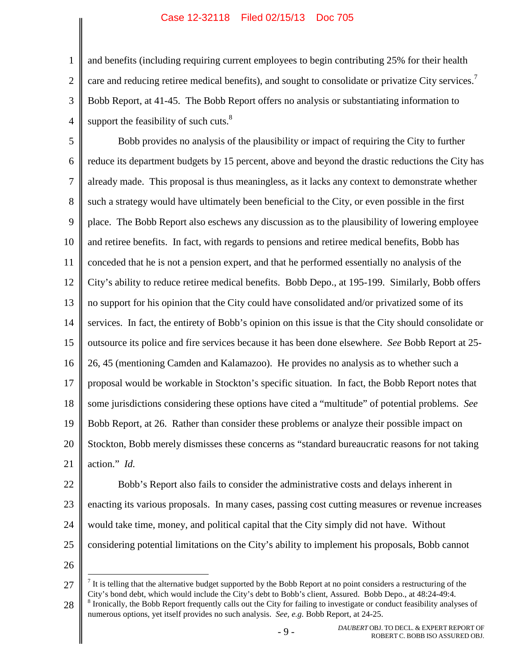3 4 and benefits (including requiring current employees to begin contributing 25% for their health care and reducing retiree medical benefits), and sought to consolidate or privatize City services.<sup>[7](#page-12-0)</sup> Bobb Report, at 41-45. The Bobb Report offers no analysis or substantiating information to support the feasibility of such cuts. $8<sup>8</sup>$ 

5 6 7 8 9 10 11 12 13 14 15 16 17 18 19 20 21 Bobb provides no analysis of the plausibility or impact of requiring the City to further reduce its department budgets by 15 percent, above and beyond the drastic reductions the City has already made. This proposal is thus meaningless, as it lacks any context to demonstrate whether such a strategy would have ultimately been beneficial to the City, or even possible in the first place. The Bobb Report also eschews any discussion as to the plausibility of lowering employee and retiree benefits. In fact, with regards to pensions and retiree medical benefits, Bobb has conceded that he is not a pension expert, and that he performed essentially no analysis of the City's ability to reduce retiree medical benefits. Bobb Depo., at 195-199. Similarly, Bobb offers no support for his opinion that the City could have consolidated and/or privatized some of its services. In fact, the entirety of Bobb's opinion on this issue is that the City should consolidate or outsource its police and fire services because it has been done elsewhere. *See* Bobb Report at 25- 26, 45 (mentioning Camden and Kalamazoo). He provides no analysis as to whether such a proposal would be workable in Stockton's specific situation. In fact, the Bobb Report notes that some jurisdictions considering these options have cited a "multitude" of potential problems. *See* Bobb Report, at 26. Rather than consider these problems or analyze their possible impact on Stockton, Bobb merely dismisses these concerns as "standard bureaucratic reasons for not taking action." *Id.*

22 23 24 25 Bobb's Report also fails to consider the administrative costs and delays inherent in enacting its various proposals. In many cases, passing cost cutting measures or revenue increases would take time, money, and political capital that the City simply did not have. Without considering potential limitations on the City's ability to implement his proposals, Bobb cannot

26

1

2

<span id="page-12-0"></span><sup>27</sup> 28  $<sup>7</sup>$  It is telling that the alternative budget supported by the Bobb Report at no point considers a restructuring of the</sup> City's bond debt, which would include the City's debt to Bobb's client, Assured. Bobb Depo., at 48:24-49:4. <sup>8</sup> Ironically, the Bobb Report frequently calls out the City for failing to investigate or conduct feasibility analyses of numerous options, yet itself provides no such analysis. *See, e.g.* Bobb Report, at 24-25.